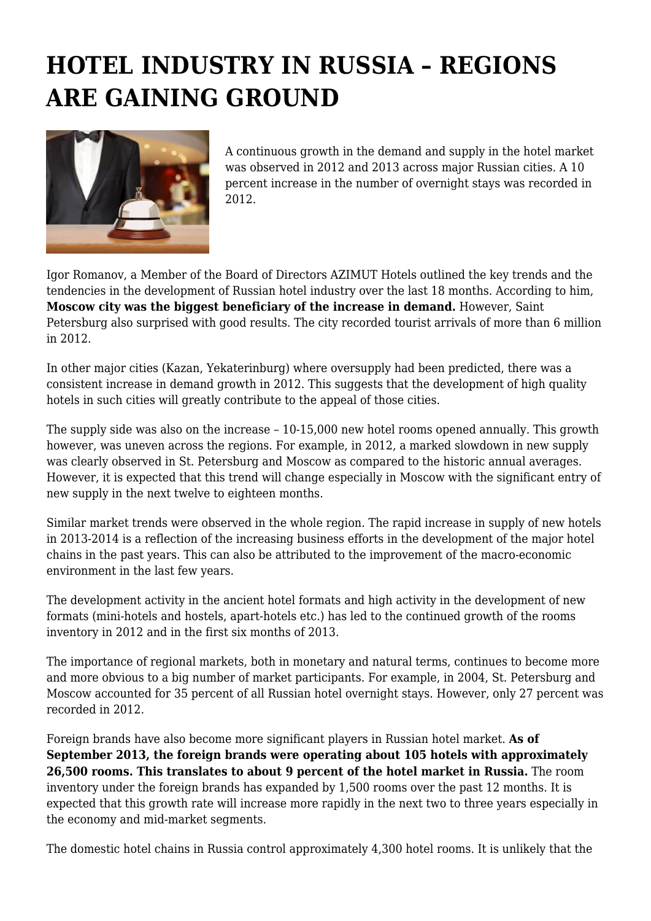## **HOTEL INDUSTRY IN RUSSIA – REGIONS ARE GAINING GROUND**



A continuous growth in the demand and supply in the hotel market was observed in 2012 and 2013 across major Russian cities. A 10 percent increase in the number of overnight stays was recorded in 2012.

Igor Romanov, a Member of the Board of Directors AZIMUT Hotels outlined the key trends and the tendencies in the development of Russian hotel industry over the last 18 months. According to him, **Moscow city was the biggest beneficiary of the increase in demand.** However, Saint Petersburg also surprised with good results. The city recorded tourist arrivals of more than 6 million in 2012.

In other major cities (Kazan, Yekaterinburg) where oversupply had been predicted, there was a consistent increase in demand growth in 2012. This suggests that the development of high quality hotels in such cities will greatly contribute to the appeal of those cities.

The supply side was also on the increase – 10-15,000 new hotel rooms opened annually. This growth however, was uneven across the regions. For example, in 2012, a marked slowdown in new supply was clearly observed in St. Petersburg and Moscow as compared to the historic annual averages. However, it is expected that this trend will change especially in Moscow with the significant entry of new supply in the next twelve to eighteen months.

Similar market trends were observed in the whole region. The rapid increase in supply of new hotels in 2013-2014 is a reflection of the increasing business efforts in the development of the major hotel chains in the past years. This can also be attributed to the improvement of the macro-economic environment in the last few years.

The development activity in the ancient hotel formats and high activity in the development of new formats (mini-hotels and hostels, apart-hotels etc.) has led to the continued growth of the rooms inventory in 2012 and in the first six months of 2013.

The importance of regional markets, both in monetary and natural terms, continues to become more and more obvious to a big number of market participants. For example, in 2004, St. Petersburg and Moscow accounted for 35 percent of all Russian hotel overnight stays. However, only 27 percent was recorded in 2012.

Foreign brands have also become more significant players in Russian hotel market. **As of September 2013, the foreign brands were operating about 105 hotels with approximately 26,500 rooms. This translates to about 9 percent of the hotel market in Russia.** The room inventory under the foreign brands has expanded by 1,500 rooms over the past 12 months. It is expected that this growth rate will increase more rapidly in the next two to three years especially in the economy and mid-market segments.

The domestic hotel chains in Russia control approximately 4,300 hotel rooms. It is unlikely that the